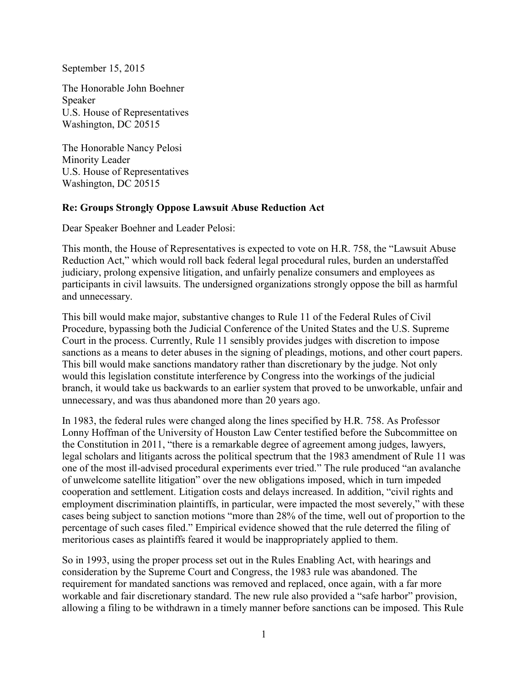September 15, 2015

The Honorable John Boehner Speaker U.S. House of Representatives Washington, DC 20515

The Honorable Nancy Pelosi Minority Leader U.S. House of Representatives Washington, DC 20515

## **Re: Groups Strongly Oppose Lawsuit Abuse Reduction Act**

Dear Speaker Boehner and Leader Pelosi:

This month, the House of Representatives is expected to vote on H.R. 758, the "Lawsuit Abuse Reduction Act," which would roll back federal legal procedural rules, burden an understaffed judiciary, prolong expensive litigation, and unfairly penalize consumers and employees as participants in civil lawsuits. The undersigned organizations strongly oppose the bill as harmful and unnecessary.

This bill would make major, substantive changes to Rule 11 of the Federal Rules of Civil Procedure, bypassing both the Judicial Conference of the United States and the U.S. Supreme Court in the process. Currently, Rule 11 sensibly provides judges with discretion to impose sanctions as a means to deter abuses in the signing of pleadings, motions, and other court papers. This bill would make sanctions mandatory rather than discretionary by the judge. Not only would this legislation constitute interference by Congress into the workings of the judicial branch, it would take us backwards to an earlier system that proved to be unworkable, unfair and unnecessary, and was thus abandoned more than 20 years ago.

In 1983, the federal rules were changed along the lines specified by H.R. 758. As Professor Lonny Hoffman of the University of Houston Law Center testified before the Subcommittee on the Constitution in 2011, "there is a remarkable degree of agreement among judges, lawyers, legal scholars and litigants across the political spectrum that the 1983 amendment of Rule 11 was one of the most ill-advised procedural experiments ever tried." The rule produced "an avalanche of unwelcome satellite litigation" over the new obligations imposed, which in turn impeded cooperation and settlement. Litigation costs and delays increased. In addition, "civil rights and employment discrimination plaintiffs, in particular, were impacted the most severely," with these cases being subject to sanction motions "more than 28% of the time, well out of proportion to the percentage of such cases filed." Empirical evidence showed that the rule deterred the filing of meritorious cases as plaintiffs feared it would be inappropriately applied to them.

So in 1993, using the proper process set out in the Rules Enabling Act, with hearings and consideration by the Supreme Court and Congress, the 1983 rule was abandoned. The requirement for mandated sanctions was removed and replaced, once again, with a far more workable and fair discretionary standard. The new rule also provided a "safe harbor" provision, allowing a filing to be withdrawn in a timely manner before sanctions can be imposed. This Rule